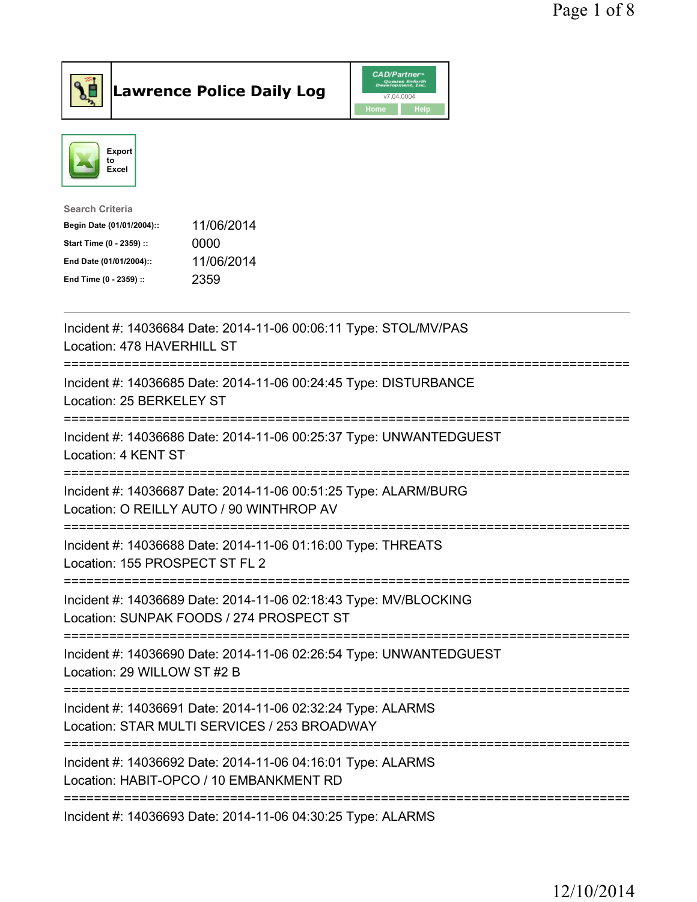



| <b>Search Criteria</b>    |            |
|---------------------------|------------|
| Begin Date (01/01/2004):: | 11/06/2014 |
| Start Time (0 - 2359) ::  | 0000       |
| End Date (01/01/2004)::   | 11/06/2014 |
| End Time (0 - 2359) ::    | 2359       |

| Incident #: 14036684 Date: 2014-11-06 00:06:11 Type: STOL/MV/PAS<br>Location: 478 HAVERHILL ST                                                                                         |
|----------------------------------------------------------------------------------------------------------------------------------------------------------------------------------------|
| Incident #: 14036685 Date: 2014-11-06 00:24:45 Type: DISTURBANCE<br>Location: 25 BERKELEY ST                                                                                           |
| Incident #: 14036686 Date: 2014-11-06 00:25:37 Type: UNWANTEDGUEST<br>Location: 4 KENT ST                                                                                              |
| Incident #: 14036687 Date: 2014-11-06 00:51:25 Type: ALARM/BURG<br>Location: O REILLY AUTO / 90 WINTHROP AV<br>:============================<br>:===================================== |
| Incident #: 14036688 Date: 2014-11-06 01:16:00 Type: THREATS<br>Location: 155 PROSPECT ST FL 2<br>=============<br>-----------------------                                             |
| Incident #: 14036689 Date: 2014-11-06 02:18:43 Type: MV/BLOCKING<br>Location: SUNPAK FOODS / 274 PROSPECT ST                                                                           |
| Incident #: 14036690 Date: 2014-11-06 02:26:54 Type: UNWANTEDGUEST<br>Location: 29 WILLOW ST #2 B                                                                                      |
| Incident #: 14036691 Date: 2014-11-06 02:32:24 Type: ALARMS<br>Location: STAR MULTI SERVICES / 253 BROADWAY                                                                            |
| Incident #: 14036692 Date: 2014-11-06 04:16:01 Type: ALARMS<br>Location: HABIT-OPCO / 10 EMBANKMENT RD                                                                                 |
| ----------------------------------<br>Incident #: 14036693 Date: 2014-11-06 04:30:25 Type: ALARMS                                                                                      |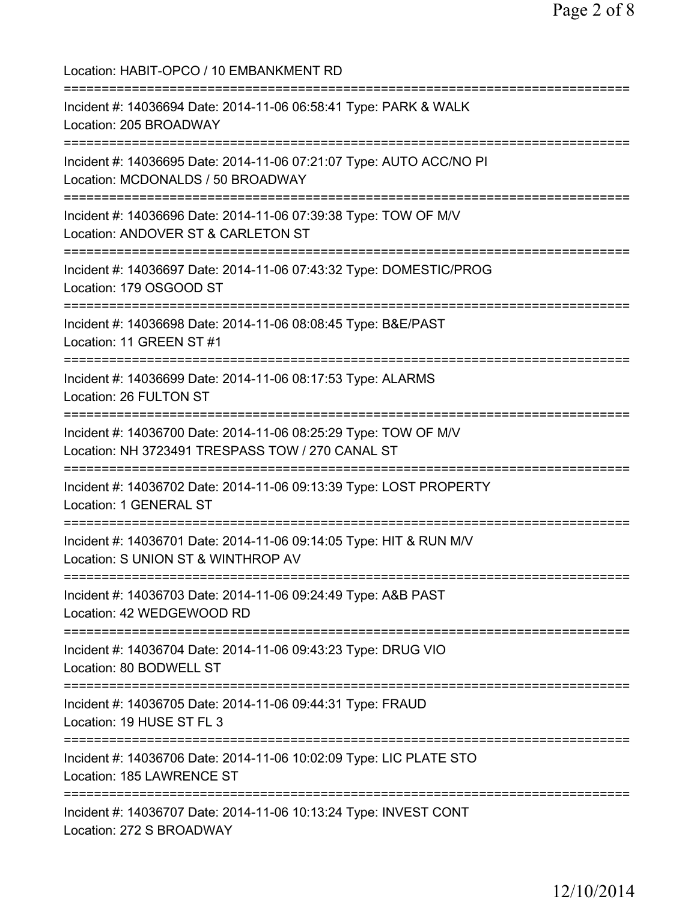Location: HABIT-OPCO / 10 EMBANKMENT RD =========================================================================== Incident #: 14036694 Date: 2014-11-06 06:58:41 Type: PARK & WALK Location: 205 BROADWAY =========================================================================== Incident #: 14036695 Date: 2014-11-06 07:21:07 Type: AUTO ACC/NO PI Location: MCDONALDS / 50 BROADWAY =========================================================================== Incident #: 14036696 Date: 2014-11-06 07:39:38 Type: TOW OF M/V Location: ANDOVER ST & CARLETON ST =========================================================================== Incident #: 14036697 Date: 2014-11-06 07:43:32 Type: DOMESTIC/PROG Location: 179 OSGOOD ST =========================================================================== Incident #: 14036698 Date: 2014-11-06 08:08:45 Type: B&E/PAST Location: 11 GREEN ST #1 =========================================================================== Incident #: 14036699 Date: 2014-11-06 08:17:53 Type: ALARMS Location: 26 FULTON ST =========================================================================== Incident #: 14036700 Date: 2014-11-06 08:25:29 Type: TOW OF M/V Location: NH 3723491 TRESPASS TOW / 270 CANAL ST =========================================================================== Incident #: 14036702 Date: 2014-11-06 09:13:39 Type: LOST PROPERTY Location: 1 GENERAL ST =========================================================================== Incident #: 14036701 Date: 2014-11-06 09:14:05 Type: HIT & RUN M/V Location: S UNION ST & WINTHROP AV =========================================================================== Incident #: 14036703 Date: 2014-11-06 09:24:49 Type: A&B PAST Location: 42 WEDGEWOOD RD =========================================================================== Incident #: 14036704 Date: 2014-11-06 09:43:23 Type: DRUG VIO Location: 80 BODWELL ST =========================================================================== Incident #: 14036705 Date: 2014-11-06 09:44:31 Type: FRAUD Location: 19 HUSE ST FL 3 =========================================================================== Incident #: 14036706 Date: 2014-11-06 10:02:09 Type: LIC PLATE STO Location: 185 LAWRENCE ST =========================================================================== Incident #: 14036707 Date: 2014-11-06 10:13:24 Type: INVEST CONT Location: 272 S BROADWAY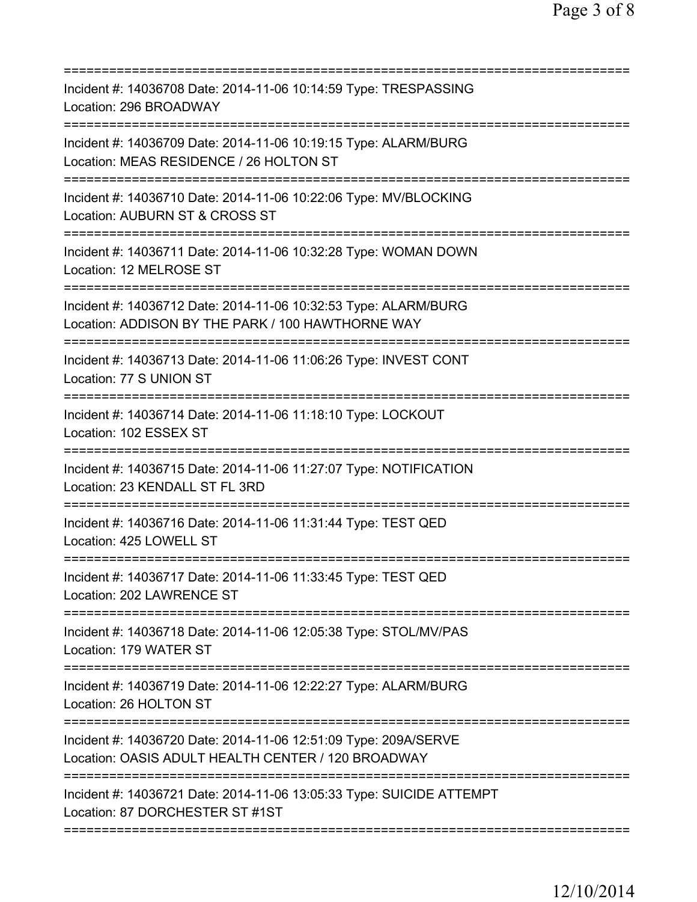| Incident #: 14036708 Date: 2014-11-06 10:14:59 Type: TRESPASSING<br>Location: 296 BROADWAY                                               |
|------------------------------------------------------------------------------------------------------------------------------------------|
| Incident #: 14036709 Date: 2014-11-06 10:19:15 Type: ALARM/BURG<br>Location: MEAS RESIDENCE / 26 HOLTON ST                               |
| Incident #: 14036710 Date: 2014-11-06 10:22:06 Type: MV/BLOCKING<br>Location: AUBURN ST & CROSS ST                                       |
| Incident #: 14036711 Date: 2014-11-06 10:32:28 Type: WOMAN DOWN<br>Location: 12 MELROSE ST<br>;===================================       |
| Incident #: 14036712 Date: 2014-11-06 10:32:53 Type: ALARM/BURG<br>Location: ADDISON BY THE PARK / 100 HAWTHORNE WAY                     |
| Incident #: 14036713 Date: 2014-11-06 11:06:26 Type: INVEST CONT<br>Location: 77 S UNION ST                                              |
| Incident #: 14036714 Date: 2014-11-06 11:18:10 Type: LOCKOUT<br>Location: 102 ESSEX ST                                                   |
| Incident #: 14036715 Date: 2014-11-06 11:27:07 Type: NOTIFICATION<br>Location: 23 KENDALL ST FL 3RD                                      |
| Incident #: 14036716 Date: 2014-11-06 11:31:44 Type: TEST QED<br>Location: 425 LOWELL ST                                                 |
| Incident #: 14036717 Date: 2014-11-06 11:33:45 Type: TEST QED<br>Location: 202 LAWRENCE ST                                               |
| Incident #: 14036718 Date: 2014-11-06 12:05:38 Type: STOL/MV/PAS<br>Location: 179 WATER ST                                               |
| Incident #: 14036719 Date: 2014-11-06 12:22:27 Type: ALARM/BURG<br>Location: 26 HOLTON ST                                                |
| Incident #: 14036720 Date: 2014-11-06 12:51:09 Type: 209A/SERVE<br>Location: OASIS ADULT HEALTH CENTER / 120 BROADWAY                    |
| =============================<br>Incident #: 14036721 Date: 2014-11-06 13:05:33 Type: SUICIDE ATTEMPT<br>Location: 87 DORCHESTER ST #1ST |
|                                                                                                                                          |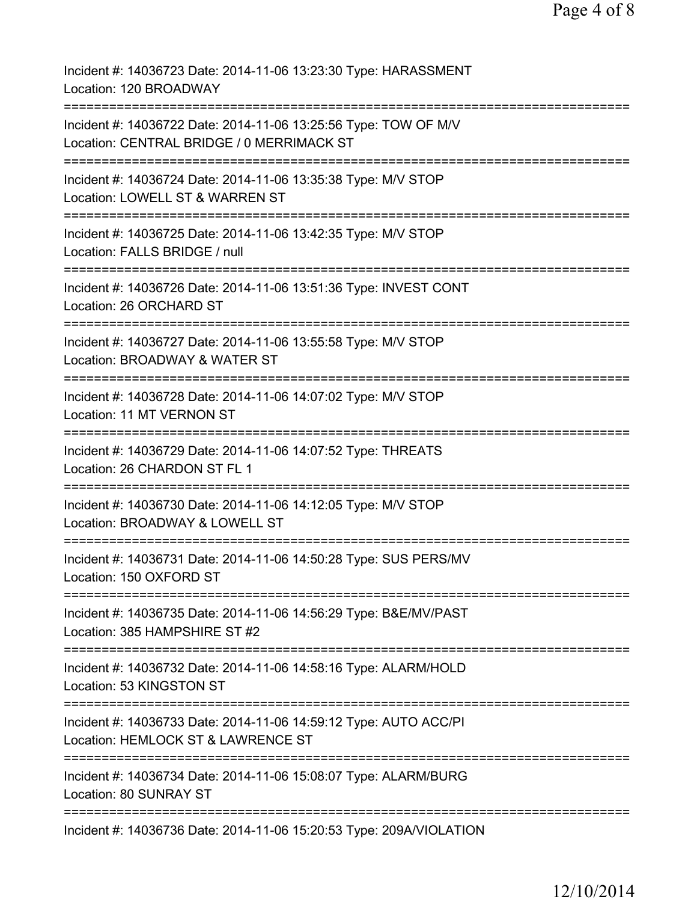| Incident #: 14036723 Date: 2014-11-06 13:23:30 Type: HARASSMENT<br>Location: 120 BROADWAY                                            |
|--------------------------------------------------------------------------------------------------------------------------------------|
| Incident #: 14036722 Date: 2014-11-06 13:25:56 Type: TOW OF M/V<br>Location: CENTRAL BRIDGE / 0 MERRIMACK ST                         |
| Incident #: 14036724 Date: 2014-11-06 13:35:38 Type: M/V STOP<br>Location: LOWELL ST & WARREN ST                                     |
| Incident #: 14036725 Date: 2014-11-06 13:42:35 Type: M/V STOP<br>Location: FALLS BRIDGE / null                                       |
| Incident #: 14036726 Date: 2014-11-06 13:51:36 Type: INVEST CONT<br>Location: 26 ORCHARD ST                                          |
| Incident #: 14036727 Date: 2014-11-06 13:55:58 Type: M/V STOP<br>Location: BROADWAY & WATER ST                                       |
| :====================<br>=============<br>Incident #: 14036728 Date: 2014-11-06 14:07:02 Type: M/V STOP<br>Location: 11 MT VERNON ST |
| ===================================<br>Incident #: 14036729 Date: 2014-11-06 14:07:52 Type: THREATS<br>Location: 26 CHARDON ST FL 1  |
| Incident #: 14036730 Date: 2014-11-06 14:12:05 Type: M/V STOP<br>Location: BROADWAY & LOWELL ST                                      |
| Incident #: 14036731 Date: 2014-11-06 14:50:28 Type: SUS PERS/MV<br>Location: 150 OXFORD ST                                          |
| Incident #: 14036735 Date: 2014-11-06 14:56:29 Type: B&E/MV/PAST<br>Location: 385 HAMPSHIRE ST #2                                    |
| Incident #: 14036732 Date: 2014-11-06 14:58:16 Type: ALARM/HOLD<br>Location: 53 KINGSTON ST                                          |
| Incident #: 14036733 Date: 2014-11-06 14:59:12 Type: AUTO ACC/PI<br>Location: HEMLOCK ST & LAWRENCE ST                               |
| Incident #: 14036734 Date: 2014-11-06 15:08:07 Type: ALARM/BURG<br>Location: 80 SUNRAY ST                                            |
| Incident #: 14036736 Date: 2014-11-06 15:20:53 Type: 209A/VIOLATION                                                                  |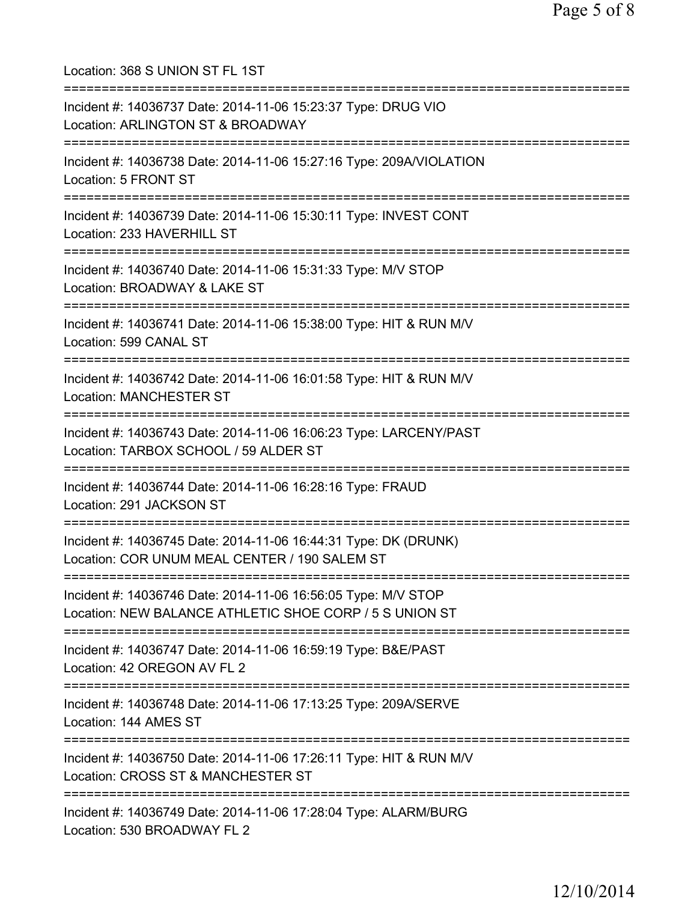Location: 368 S UNION ST FL 1ST =========================================================================== Incident #: 14036737 Date: 2014-11-06 15:23:37 Type: DRUG VIO Location: ARLINGTON ST & BROADWAY =========================================================================== Incident #: 14036738 Date: 2014-11-06 15:27:16 Type: 209A/VIOLATION Location: 5 FRONT ST =========================================================================== Incident #: 14036739 Date: 2014-11-06 15:30:11 Type: INVEST CONT Location: 233 HAVERHILL ST =========================================================================== Incident #: 14036740 Date: 2014-11-06 15:31:33 Type: M/V STOP Location: BROADWAY & LAKE ST =========================================================================== Incident #: 14036741 Date: 2014-11-06 15:38:00 Type: HIT & RUN M/V Location: 599 CANAL ST =========================================================================== Incident #: 14036742 Date: 2014-11-06 16:01:58 Type: HIT & RUN M/V Location: MANCHESTER ST =========================================================================== Incident #: 14036743 Date: 2014-11-06 16:06:23 Type: LARCENY/PAST Location: TARBOX SCHOOL / 59 ALDER ST =========================================================================== Incident #: 14036744 Date: 2014-11-06 16:28:16 Type: FRAUD Location: 291 JACKSON ST =========================================================================== Incident #: 14036745 Date: 2014-11-06 16:44:31 Type: DK (DRUNK) Location: COR UNUM MEAL CENTER / 190 SALEM ST =========================================================================== Incident #: 14036746 Date: 2014-11-06 16:56:05 Type: M/V STOP Location: NEW BALANCE ATHLETIC SHOE CORP / 5 S UNION ST =========================================================================== Incident #: 14036747 Date: 2014-11-06 16:59:19 Type: B&E/PAST Location: 42 OREGON AV FL 2 =========================================================================== Incident #: 14036748 Date: 2014-11-06 17:13:25 Type: 209A/SERVE Location: 144 AMES ST =========================================================================== Incident #: 14036750 Date: 2014-11-06 17:26:11 Type: HIT & RUN M/V Location: CROSS ST & MANCHESTER ST =========================================================================== Incident #: 14036749 Date: 2014-11-06 17:28:04 Type: ALARM/BURG Location: 530 BROADWAY FL 2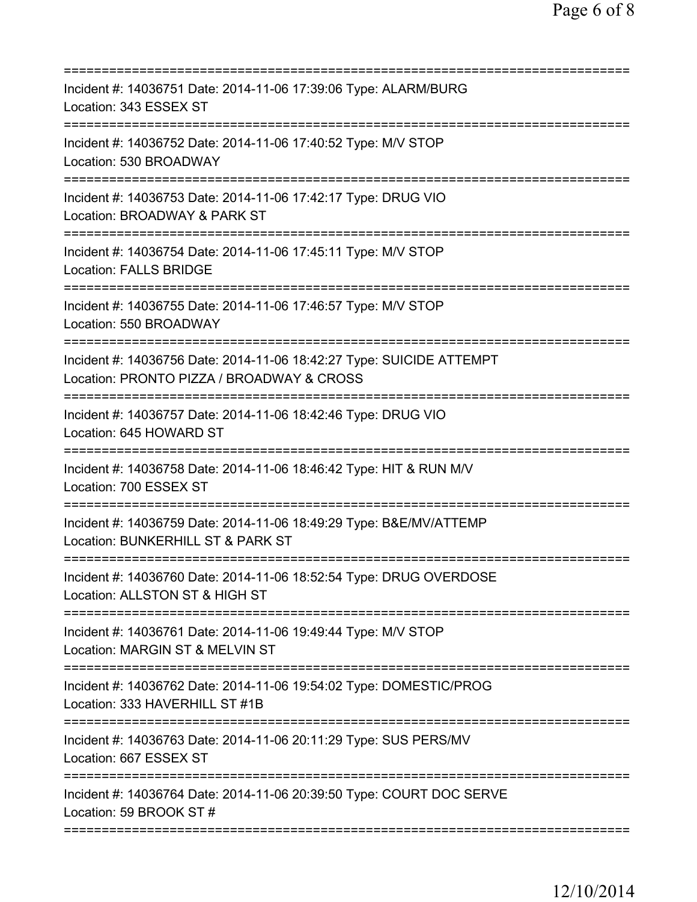| Incident #: 14036751 Date: 2014-11-06 17:39:06 Type: ALARM/BURG<br>Location: 343 ESSEX ST                                                  |
|--------------------------------------------------------------------------------------------------------------------------------------------|
| Incident #: 14036752 Date: 2014-11-06 17:40:52 Type: M/V STOP<br>Location: 530 BROADWAY                                                    |
| Incident #: 14036753 Date: 2014-11-06 17:42:17 Type: DRUG VIO<br>Location: BROADWAY & PARK ST<br>========================                  |
| Incident #: 14036754 Date: 2014-11-06 17:45:11 Type: M/V STOP<br><b>Location: FALLS BRIDGE</b>                                             |
| Incident #: 14036755 Date: 2014-11-06 17:46:57 Type: M/V STOP<br>Location: 550 BROADWAY                                                    |
| Incident #: 14036756 Date: 2014-11-06 18:42:27 Type: SUICIDE ATTEMPT<br>Location: PRONTO PIZZA / BROADWAY & CROSS<br>--------------------- |
| Incident #: 14036757 Date: 2014-11-06 18:42:46 Type: DRUG VIO<br>Location: 645 HOWARD ST                                                   |
| Incident #: 14036758 Date: 2014-11-06 18:46:42 Type: HIT & RUN M/V<br>Location: 700 ESSEX ST                                               |
| Incident #: 14036759 Date: 2014-11-06 18:49:29 Type: B&E/MV/ATTEMP<br>Location: BUNKERHILL ST & PARK ST                                    |
| Incident #: 14036760 Date: 2014-11-06 18:52:54 Type: DRUG OVERDOSE<br>Location: ALLSTON ST & HIGH ST                                       |
| Incident #: 14036761 Date: 2014-11-06 19:49:44 Type: M/V STOP<br>Location: MARGIN ST & MELVIN ST                                           |
| ============================<br>Incident #: 14036762 Date: 2014-11-06 19:54:02 Type: DOMESTIC/PROG<br>Location: 333 HAVERHILL ST #1B       |
| Incident #: 14036763 Date: 2014-11-06 20:11:29 Type: SUS PERS/MV<br>Location: 667 ESSEX ST                                                 |
| Incident #: 14036764 Date: 2014-11-06 20:39:50 Type: COURT DOC SERVE<br>Location: 59 BROOK ST #                                            |
|                                                                                                                                            |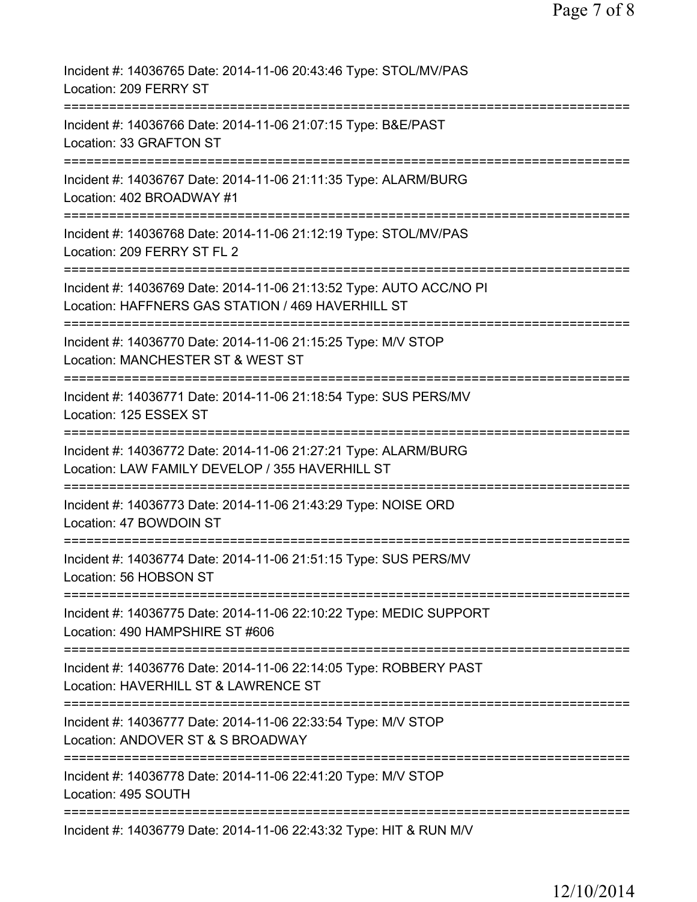| Incident #: 14036765 Date: 2014-11-06 20:43:46 Type: STOL/MV/PAS<br>Location: 209 FERRY ST                                                      |
|-------------------------------------------------------------------------------------------------------------------------------------------------|
| Incident #: 14036766 Date: 2014-11-06 21:07:15 Type: B&E/PAST<br>Location: 33 GRAFTON ST                                                        |
| Incident #: 14036767 Date: 2014-11-06 21:11:35 Type: ALARM/BURG<br>Location: 402 BROADWAY #1                                                    |
| Incident #: 14036768 Date: 2014-11-06 21:12:19 Type: STOL/MV/PAS<br>Location: 209 FERRY ST FL 2                                                 |
| Incident #: 14036769 Date: 2014-11-06 21:13:52 Type: AUTO ACC/NO PI<br>Location: HAFFNERS GAS STATION / 469 HAVERHILL ST                        |
| Incident #: 14036770 Date: 2014-11-06 21:15:25 Type: M/V STOP<br>Location: MANCHESTER ST & WEST ST                                              |
| Incident #: 14036771 Date: 2014-11-06 21:18:54 Type: SUS PERS/MV<br>Location: 125 ESSEX ST                                                      |
| Incident #: 14036772 Date: 2014-11-06 21:27:21 Type: ALARM/BURG<br>Location: LAW FAMILY DEVELOP / 355 HAVERHILL ST                              |
| Incident #: 14036773 Date: 2014-11-06 21:43:29 Type: NOISE ORD<br>Location: 47 BOWDOIN ST                                                       |
| Incident #: 14036774 Date: 2014-11-06 21:51:15 Type: SUS PERS/MV<br>Location: 56 HOBSON ST                                                      |
| Incident #: 14036775 Date: 2014-11-06 22:10:22 Type: MEDIC SUPPORT<br>Location: 490 HAMPSHIRE ST #606                                           |
| Incident #: 14036776 Date: 2014-11-06 22:14:05 Type: ROBBERY PAST<br>Location: HAVERHILL ST & LAWRENCE ST<br>================================== |
| Incident #: 14036777 Date: 2014-11-06 22:33:54 Type: M/V STOP<br>Location: ANDOVER ST & S BROADWAY                                              |
| Incident #: 14036778 Date: 2014-11-06 22:41:20 Type: M/V STOP<br>Location: 495 SOUTH                                                            |
| Incident #: 14036779 Date: 2014-11-06 22:43:32 Type: HIT & RUN M/V                                                                              |